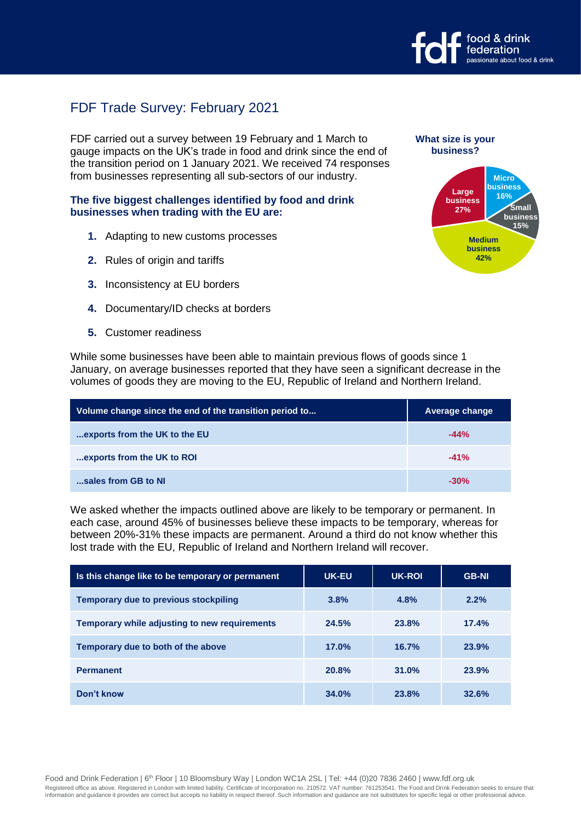

# FDF Trade Survey: February 2021

FDF carried out a survey between 19 February and 1 March to gauge impacts on the UK's trade in food and drink since the end of the transition period on 1 January 2021. We received 74 responses from businesses representing all sub-sectors of our industry.

#### **The five biggest challenges identified by food and drink businesses when trading with the EU are:**

- **1.** Adapting to new customs processes
- **2.** Rules of origin and tariffs
- **3.** Inconsistency at EU borders
- **4.** Documentary/ID checks at borders
- **5.** Customer readiness



**What size is your** 

While some businesses have been able to maintain previous flows of goods since 1 January, on average businesses reported that they have seen a significant decrease in the volumes of goods they are moving to the EU, Republic of Ireland and Northern Ireland.

| Volume change since the end of the transition period to | Average change |  |  |
|---------------------------------------------------------|----------------|--|--|
| exports from the UK to the EU                           | $-44%$         |  |  |
| exports from the UK to ROI                              | $-41%$         |  |  |
| sales from GB to NI                                     | $-30%$         |  |  |

We asked whether the impacts outlined above are likely to be temporary or permanent. In each case, around 45% of businesses believe these impacts to be temporary, whereas for between 20%-31% these impacts are permanent. Around a third do not know whether this lost trade with the EU, Republic of Ireland and Northern Ireland will recover.

| Is this change like to be temporary or permanent | <b>UK-EU</b> | UK-ROI | <b>GB-NI</b> |
|--------------------------------------------------|--------------|--------|--------------|
| <b>Temporary due to previous stockpiling</b>     | 3.8%         | 4.8%   | 2.2%         |
| Temporary while adjusting to new requirements    | 24.5%        | 23.8%  | 17.4%        |
| Temporary due to both of the above               | 17.0%        | 16.7%  | 23.9%        |
| <b>Permanent</b>                                 | 20.8%        | 31.0%  | 23.9%        |
| Don't know                                       | 34.0%        | 23.8%  | 32.6%        |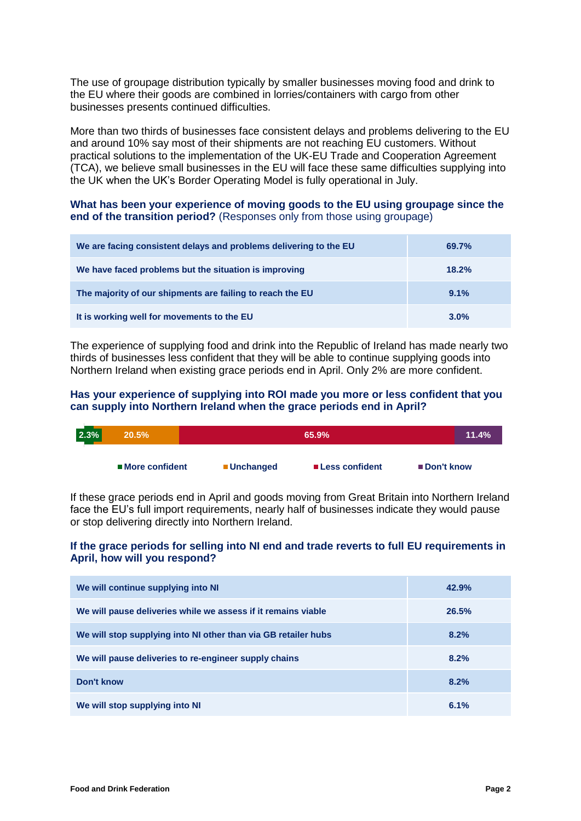The use of groupage distribution typically by smaller businesses moving food and drink to the EU where their goods are combined in lorries/containers with cargo from other businesses presents continued difficulties.

More than two thirds of businesses face consistent delays and problems delivering to the EU and around 10% say most of their shipments are not reaching EU customers. Without practical solutions to the implementation of the UK-EU Trade and Cooperation Agreement (TCA), we believe small businesses in the EU will face these same difficulties supplying into the UK when the UK's Border Operating Model is fully operational in July.

## **What has been your experience of moving goods to the EU using groupage since the end of the transition period?** (Responses only from those using groupage)

| We are facing consistent delays and problems delivering to the EU | 69.7% |
|-------------------------------------------------------------------|-------|
| We have faced problems but the situation is improving             | 18.2% |
| The majority of our shipments are failing to reach the EU         | 9.1%  |
| It is working well for movements to the EU                        | 3.0%  |

The experience of supplying food and drink into the Republic of Ireland has made nearly two thirds of businesses less confident that they will be able to continue supplying goods into Northern Ireland when existing grace periods end in April. Only 2% are more confident.

## **Has your experience of supplying into ROI made you more or less confident that you can supply into Northern Ireland when the grace periods end in April?**

| 2.3% | 20.5%            |            |                  | $11.4\%$    |  |
|------|------------------|------------|------------------|-------------|--|
|      | ■ More confident | ■Unchanged | ■ Less confident | ■Don't know |  |

If these grace periods end in April and goods moving from Great Britain into Northern Ireland face the EU's full import requirements, nearly half of businesses indicate they would pause or stop delivering directly into Northern Ireland.

## **If the grace periods for selling into NI end and trade reverts to full EU requirements in April, how will you respond?**

| We will continue supplying into NI                             | 42.9% |
|----------------------------------------------------------------|-------|
| We will pause deliveries while we assess if it remains viable  | 26.5% |
| We will stop supplying into NI other than via GB retailer hubs | 8.2%  |
| We will pause deliveries to re-engineer supply chains          | 8.2%  |
| Don't know                                                     | 8.2%  |
| We will stop supplying into NI                                 | 6.1%  |